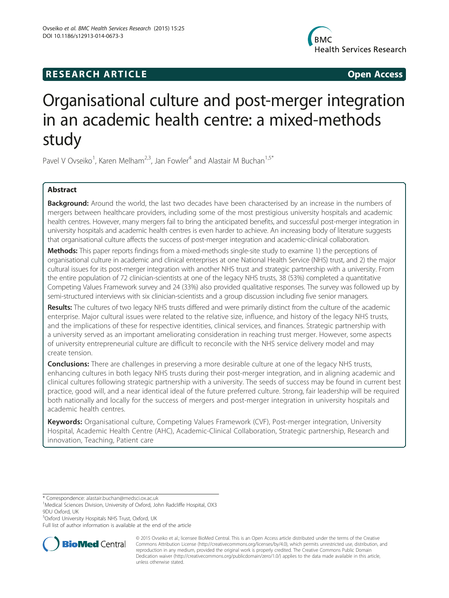# **RESEARCH ARTICLE Example 2018 12:00 Open Access**



# Organisational culture and post-merger integration in an academic health centre: a mixed-methods study

Pavel V Ovseiko<sup>1</sup>, Karen Melham<sup>2,3</sup>, Jan Fowler<sup>4</sup> and Alastair M Buchan<sup>1,5\*</sup>

# Abstract

Background: Around the world, the last two decades have been characterised by an increase in the numbers of mergers between healthcare providers, including some of the most prestigious university hospitals and academic health centres. However, many mergers fail to bring the anticipated benefits, and successful post-merger integration in university hospitals and academic health centres is even harder to achieve. An increasing body of literature suggests that organisational culture affects the success of post-merger integration and academic-clinical collaboration.

Methods: This paper reports findings from a mixed-methods single-site study to examine 1) the perceptions of organisational culture in academic and clinical enterprises at one National Health Service (NHS) trust, and 2) the major cultural issues for its post-merger integration with another NHS trust and strategic partnership with a university. From the entire population of 72 clinician-scientists at one of the legacy NHS trusts, 38 (53%) completed a quantitative Competing Values Framework survey and 24 (33%) also provided qualitative responses. The survey was followed up by semi-structured interviews with six clinician-scientists and a group discussion including five senior managers.

Results: The cultures of two legacy NHS trusts differed and were primarily distinct from the culture of the academic enterprise. Major cultural issues were related to the relative size, influence, and history of the legacy NHS trusts, and the implications of these for respective identities, clinical services, and finances. Strategic partnership with a university served as an important ameliorating consideration in reaching trust merger. However, some aspects of university entrepreneurial culture are difficult to reconcile with the NHS service delivery model and may create tension.

**Conclusions:** There are challenges in preserving a more desirable culture at one of the legacy NHS trusts, enhancing cultures in both legacy NHS trusts during their post-merger integration, and in aligning academic and clinical cultures following strategic partnership with a university. The seeds of success may be found in current best practice, good will, and a near identical ideal of the future preferred culture. Strong, fair leadership will be required both nationally and locally for the success of mergers and post-merger integration in university hospitals and academic health centres.

Keywords: Organisational culture, Competing Values Framework (CVF), Post-merger integration, University Hospital, Academic Health Centre (AHC), Academic-Clinical Collaboration, Strategic partnership, Research and innovation, Teaching, Patient care

\* Correspondence: [alastair.buchan@medsci.ox.ac.uk](mailto:alastair.buchan@medsci.ox.ac.uk) <sup>1</sup>

5 Oxford University Hospitals NHS Trust, Oxford, UK

Full list of author information is available at the end of the article



© 2015 Ovseiko et al.; licensee BioMed Central. This is an Open Access article distributed under the terms of the Creative Commons Attribution License [\(http://creativecommons.org/licenses/by/4.0\)](http://creativecommons.org/licenses/by/4.0), which permits unrestricted use, distribution, and reproduction in any medium, provided the original work is properly credited. The Creative Commons Public Domain Dedication waiver [\(http://creativecommons.org/publicdomain/zero/1.0/](http://creativecommons.org/publicdomain/zero/1.0/)) applies to the data made available in this article, unless otherwise stated.

Medical Sciences Division, University of Oxford, John Radcliffe Hospital, OX3 9DU Oxford, UK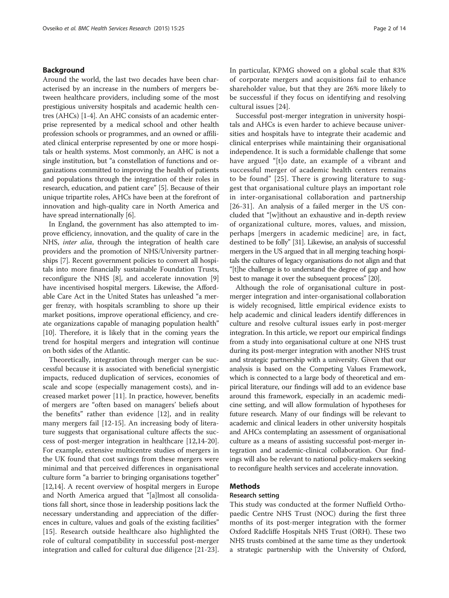# Background

Around the world, the last two decades have been characterised by an increase in the numbers of mergers between healthcare providers, including some of the most prestigious university hospitals and academic health centres (AHCs) [\[1](#page-12-0)-[4\]](#page-12-0). An AHC consists of an academic enterprise represented by a medical school and other health profession schools or programmes, and an owned or affiliated clinical enterprise represented by one or more hospitals or health systems. Most commonly, an AHC is not a single institution, but "a constellation of functions and organizations committed to improving the health of patients and populations through the integration of their roles in research, education, and patient care" [\[5](#page-12-0)]. Because of their unique tripartite roles, AHCs have been at the forefront of innovation and high-quality care in North America and have spread internationally [[6\]](#page-12-0).

In England, the government has also attempted to improve efficiency, innovation, and the quality of care in the NHS, *inter alia*, through the integration of health care providers and the promotion of NHS/University partnerships [[7\]](#page-12-0). Recent government policies to convert all hospitals into more financially sustainable Foundation Trusts, reconfigure the NHS [[8\]](#page-12-0), and accelerate innovation [[9](#page-12-0)] have incentivised hospital mergers. Likewise, the Affordable Care Act in the United States has unleashed "a merger frenzy, with hospitals scrambling to shore up their market positions, improve operational efficiency, and create organizations capable of managing population health" [[10](#page-12-0)]. Therefore, it is likely that in the coming years the trend for hospital mergers and integration will continue on both sides of the Atlantic.

Theoretically, integration through merger can be successful because it is associated with beneficial synergistic impacts, reduced duplication of services, economies of scale and scope (especially management costs), and increased market power [[11\]](#page-12-0). In practice, however, benefits of mergers are "often based on managers' beliefs about the benefits" rather than evidence [[12\]](#page-12-0), and in reality many mergers fail [\[12](#page-12-0)-[15](#page-12-0)]. An increasing body of literature suggests that organisational culture affects the success of post-merger integration in healthcare [\[12,14-20](#page-12-0)]. For example, extensive multicentre studies of mergers in the UK found that cost savings from these mergers were minimal and that perceived differences in organisational culture form "a barrier to bringing organisations together" [[12,14](#page-12-0)]. A recent overview of hospital mergers in Europe and North America argued that "[a]lmost all consolidations fall short, since those in leadership positions lack the necessary understanding and appreciation of the differences in culture, values and goals of the existing facilities" [[15\]](#page-12-0). Research outside healthcare also highlighted the role of cultural compatibility in successful post-merger integration and called for cultural due diligence [\[21-23](#page-12-0)]. In particular, KPMG showed on a global scale that 83% of corporate mergers and acquisitions fail to enhance shareholder value, but that they are 26% more likely to be successful if they focus on identifying and resolving cultural issues [[24\]](#page-12-0).

Successful post-merger integration in university hospitals and AHCs is even harder to achieve because universities and hospitals have to integrate their academic and clinical enterprises while maintaining their organisational independence. It is such a formidable challenge that some have argued "[t]o date, an example of a vibrant and successful merger of academic health centers remains to be found" [\[25](#page-12-0)]. There is growing literature to suggest that organisational culture plays an important role in inter-organisational collaboration and partnership [[26](#page-12-0)-[31\]](#page-12-0). An analysis of a failed merger in the US concluded that "[w]ithout an exhaustive and in-depth review of organizational culture, mores, values, and mission, perhaps [mergers in academic medicine] are, in fact, destined to be folly" [\[31](#page-12-0)]. Likewise, an analysis of successful mergers in the US argued that in all merging teaching hospitals the cultures of legacy organisations do not align and that "[t]he challenge is to understand the degree of gap and how best to manage it over the subsequent process" [\[20\]](#page-12-0).

Although the role of organisational culture in postmerger integration and inter-organisational collaboration is widely recognised, little empirical evidence exists to help academic and clinical leaders identify differences in culture and resolve cultural issues early in post-merger integration. In this article, we report our empirical findings from a study into organisational culture at one NHS trust during its post-merger integration with another NHS trust and strategic partnership with a university. Given that our analysis is based on the Competing Values Framework, which is connected to a large body of theoretical and empirical literature, our findings will add to an evidence base around this framework, especially in an academic medicine setting, and will allow formulation of hypotheses for future research. Many of our findings will be relevant to academic and clinical leaders in other university hospitals and AHCs contemplating an assessment of organisational culture as a means of assisting successful post-merger integration and academic-clinical collaboration. Our findings will also be relevant to national policy-makers seeking to reconfigure health services and accelerate innovation.

#### Methods

#### Research setting

This study was conducted at the former Nuffield Orthopaedic Centre NHS Trust (NOC) during the first three months of its post-merger integration with the former Oxford Radcliffe Hospitals NHS Trust (ORH). These two NHS trusts combined at the same time as they undertook a strategic partnership with the University of Oxford,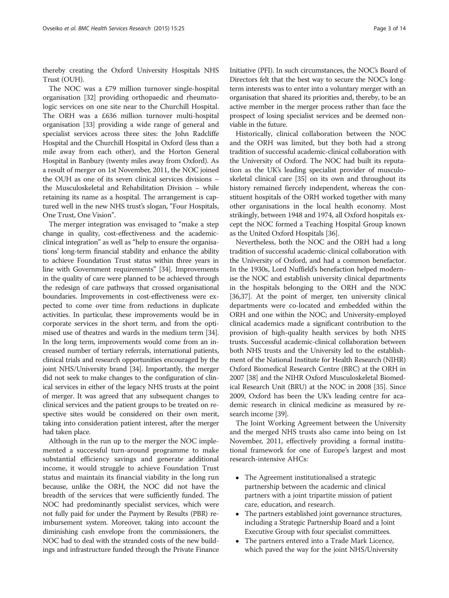thereby creating the Oxford University Hospitals NHS Trust (OUH).

The NOC was a £79 million turnover single-hospital organisation [[32](#page-12-0)] providing orthopaedic and rheumatologic services on one site near to the Churchill Hospital. The ORH was a £636 million turnover multi-hospital organisation [\[33\]](#page-12-0) providing a wide range of general and specialist services across three sites: the John Radcliffe Hospital and the Churchill Hospital in Oxford (less than a mile away from each other), and the Horton General Hospital in Banbury (twenty miles away from Oxford). As a result of merger on 1st November, 2011, the NOC joined the OUH as one of its seven clinical services divisions – the Musculoskeletal and Rehabilitation Division – while retaining its name as a hospital. The arrangement is captured well in the new NHS trust's slogan, "Four Hospitals, One Trust, One Vision".

The merger integration was envisaged to "make a step change in quality, cost-effectiveness and the academicclinical integration" as well as "help to ensure the organisations' long-term financial stability and enhance the ability to achieve Foundation Trust status within three years in line with Government requirements" [\[34\]](#page-12-0). Improvements in the quality of care were planned to be achieved through the redesign of care pathways that crossed organisational boundaries. Improvements in cost-effectiveness were expected to come over time from reductions in duplicate activities. In particular, these improvements would be in corporate services in the short term, and from the optimised use of theatres and wards in the medium term [\[34](#page-12-0)]. In the long term, improvements would come from an increased number of tertiary referrals, international patients, clinical trials and research opportunities encouraged by the joint NHS/University brand [\[34\]](#page-12-0). Importantly, the merger did not seek to make changes to the configuration of clinical services in either of the legacy NHS trusts at the point of merger. It was agreed that any subsequent changes to clinical services and the patient groups to be treated on respective sites would be considered on their own merit, taking into consideration patient interest, after the merger had taken place.

Although in the run up to the merger the NOC implemented a successful turn-around programme to make substantial efficiency savings and generate additional income, it would struggle to achieve Foundation Trust status and maintain its financial viability in the long run because, unlike the ORH, the NOC did not have the breadth of the services that were sufficiently funded. The NOC had predominantly specialist services, which were not fully paid for under the Payment by Results (PBR) reimbursement system. Moreover, taking into account the diminishing cash envelope from the commissioners, the NOC had to deal with the stranded costs of the new buildings and infrastructure funded through the Private Finance

Initiative (PFI). In such circumstances, the NOC's Board of Directors felt that the best way to secure the NOC's longterm interests was to enter into a voluntary merger with an organisation that shared its priorities and, thereby, to be an active member in the merger process rather than face the prospect of losing specialist services and be deemed nonviable in the future.

Historically, clinical collaboration between the NOC and the ORH was limited, but they both had a strong tradition of successful academic-clinical collaboration with the University of Oxford. The NOC had built its reputation as the UK's leading specialist provider of musculoskeletal clinical care [\[35](#page-12-0)] on its own and throughout its history remained fiercely independent, whereas the constituent hospitals of the ORH worked together with many other organisations in the local health economy. Most strikingly, between 1948 and 1974, all Oxford hospitals except the NOC formed a Teaching Hospital Group known as the United Oxford Hospitals [\[36\]](#page-12-0).

Nevertheless, both the NOC and the ORH had a long tradition of successful academic-clinical collaboration with the University of Oxford, and had a common benefactor. In the 1930s, Lord Nuffield's benefaction helped modernise the NOC and establish university clinical departments in the hospitals belonging to the ORH and the NOC [[36](#page-12-0),[37](#page-12-0)]. At the point of merger, ten university clinical departments were co-located and embedded within the ORH and one within the NOC; and University-employed clinical academics made a significant contribution to the provision of high-quality health services by both NHS trusts. Successful academic-clinical collaboration between both NHS trusts and the University led to the establishment of the National Institute for Health Research (NIHR) Oxford Biomedical Research Centre (BRC) at the ORH in 2007 [[38\]](#page-12-0) and the NIHR Oxford Musculoskeletal Biomedical Research Unit (BRU) at the NOC in 2008 [\[35\]](#page-12-0). Since 2009, Oxford has been the UK's leading centre for academic research in clinical medicine as measured by research income [\[39\]](#page-12-0).

The Joint Working Agreement between the University and the merged NHS trusts also came into being on 1st November, 2011, effectively providing a formal institutional framework for one of Europe's largest and most research-intensive AHCs:

- The Agreement institutionalised a strategic partnership between the academic and clinical partners with a joint tripartite mission of patient care, education, and research.
- The partners established joint governance structures, including a Strategic Partnership Board and a Joint Executive Group with four specialist committees.
- The partners entered into a Trade Mark Licence, which paved the way for the joint NHS/University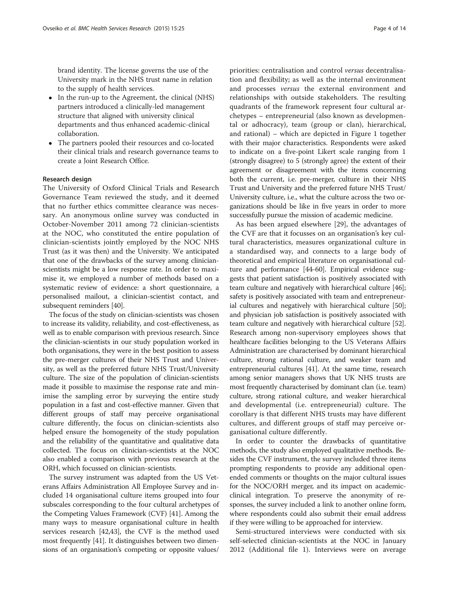brand identity. The license governs the use of the University mark in the NHS trust name in relation to the supply of health services.

- In the run-up to the Agreement, the clinical (NHS) partners introduced a clinically-led management structure that aligned with university clinical departments and thus enhanced academic-clinical collaboration.
- The partners pooled their resources and co-located their clinical trials and research governance teams to create a Joint Research Office.

#### Research design

The University of Oxford Clinical Trials and Research Governance Team reviewed the study, and it deemed that no further ethics committee clearance was necessary. An anonymous online survey was conducted in October-November 2011 among 72 clinician-scientists at the NOC, who constituted the entire population of clinician-scientists jointly employed by the NOC NHS Trust (as it was then) and the University. We anticipated that one of the drawbacks of the survey among clinicianscientists might be a low response rate. In order to maximise it, we employed a number of methods based on a systematic review of evidence: a short questionnaire, a personalised mailout, a clinician-scientist contact, and subsequent reminders [[40](#page-12-0)].

The focus of the study on clinician-scientists was chosen to increase its validity, reliability, and cost-effectiveness, as well as to enable comparison with previous research. Since the clinician-scientists in our study population worked in both organisations, they were in the best position to assess the pre-merger cultures of their NHS Trust and University, as well as the preferred future NHS Trust/University culture. The size of the population of clinician-scientists made it possible to maximise the response rate and minimise the sampling error by surveying the entire study population in a fast and cost-effective manner. Given that different groups of staff may perceive organisational culture differently, the focus on clinician-scientists also helped ensure the homogeneity of the study population and the reliability of the quantitative and qualitative data collected. The focus on clinician-scientists at the NOC also enabled a comparison with previous research at the ORH, which focussed on clinician-scientists.

The survey instrument was adapted from the US Veterans Affairs Administration All Employee Survey and included 14 organisational culture items grouped into four subscales corresponding to the four cultural archetypes of the Competing Values Framework (CVF) [\[41](#page-12-0)]. Among the many ways to measure organisational culture in health services research [\[42,43\]](#page-12-0), the CVF is the method used most frequently [\[41\]](#page-12-0). It distinguishes between two dimensions of an organisation's competing or opposite values/

priorities: centralisation and control versus decentralisation and flexibility; as well as the internal environment and processes versus the external environment and relationships with outside stakeholders. The resulting quadrants of the framework represent four cultural archetypes – entrepreneurial (also known as developmental or adhocracy), team (group or clan), hierarchical, and rational) – which are depicted in Figure [1](#page-4-0) together with their major characteristics. Respondents were asked to indicate on a five-point Likert scale ranging from 1 (strongly disagree) to 5 (strongly agree) the extent of their agreement or disagreement with the items concerning both the current, i.e. pre-merger, culture in their NHS Trust and University and the preferred future NHS Trust/ University culture, i.e., what the culture across the two organizations should be like in five years in order to more successfully pursue the mission of academic medicine.

As has been argued elsewhere [[29](#page-12-0)], the advantages of the CVF are that it focusses on an organisation's key cultural characteristics, measures organizational culture in a standardised way, and connects to a large body of theoretical and empirical literature on organisational culture and performance [\[44-60\]](#page-13-0). Empirical evidence suggests that patient satisfaction is positively associated with team culture and negatively with hierarchical culture [[46](#page-13-0)]; safety is positively associated with team and entrepreneurial cultures and negatively with hierarchical culture [[50](#page-13-0)]; and physician job satisfaction is positively associated with team culture and negatively with hierarchical culture [[52](#page-13-0)]. Research among non-supervisory employees shows that healthcare facilities belonging to the US Veterans Affairs Administration are characterised by dominant hierarchical culture, strong rational culture, and weaker team and entrepreneurial cultures [[41](#page-12-0)]. At the same time, research among senior managers shows that UK NHS trusts are most frequently characterised by dominant clan (i.e. team) culture, strong rational culture, and weaker hierarchical and developmental (i.e. entrepreneurial) culture. The corollary is that different NHS trusts may have different cultures, and different groups of staff may perceive organisational culture differently.

In order to counter the drawbacks of quantitative methods, the study also employed qualitative methods. Besides the CVF instrument, the survey included three items prompting respondents to provide any additional openended comments or thoughts on the major cultural issues for the NOC/ORH merger, and its impact on academicclinical integration. To preserve the anonymity of responses, the survey included a link to another online form, where respondents could also submit their email address if they were willing to be approached for interview.

Semi-structured interviews were conducted with six self-selected clinician-scientists at the NOC in January 2012 (Additional file [1](#page-11-0)). Interviews were on average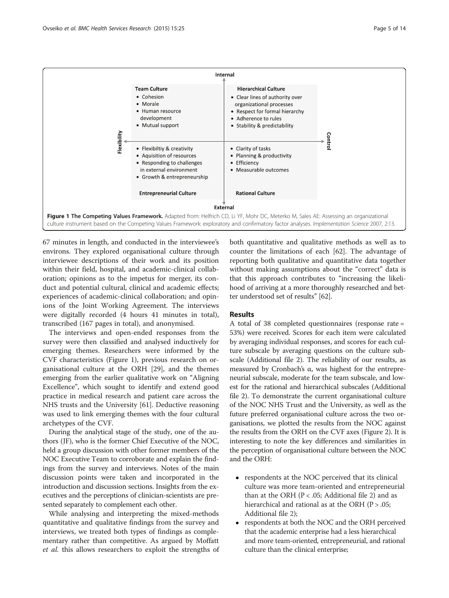<span id="page-4-0"></span>

67 minutes in length, and conducted in the interviewee's environs. They explored organisational culture through interviewee descriptions of their work and its position within their field, hospital, and academic-clinical collaboration; opinions as to the impetus for merger, its conduct and potential cultural, clinical and academic effects; experiences of academic-clinical collaboration; and opinions of the Joint Working Agreement. The interviews were digitally recorded (4 hours 41 minutes in total), transcribed (167 pages in total), and anonymised.

The interviews and open-ended responses from the survey were then classified and analysed inductively for emerging themes. Researchers were informed by the CVF characteristics (Figure 1), previous research on organisational culture at the ORH [\[29](#page-12-0)], and the themes emerging from the earlier qualitative work on "Aligning Excellence", which sought to identify and extend good practice in medical research and patient care across the NHS trusts and the University [\[61](#page-13-0)]. Deductive reasoning was used to link emerging themes with the four cultural archetypes of the CVF.

During the analytical stage of the study, one of the authors (JF), who is the former Chief Executive of the NOC, held a group discussion with other former members of the NOC Executive Team to corroborate and explain the findings from the survey and interviews. Notes of the main discussion points were taken and incorporated in the introduction and discussion sections. Insights from the executives and the perceptions of clinician-scientists are presented separately to complement each other.

While analysing and interpreting the mixed-methods quantitative and qualitative findings from the survey and interviews, we treated both types of findings as complementary rather than competitive. As argued by Moffatt et al. this allows researchers to exploit the strengths of both quantitative and qualitative methods as well as to counter the limitations of each [\[62\]](#page-13-0). The advantage of reporting both qualitative and quantitative data together without making assumptions about the "correct" data is that this approach contributes to "increasing the likelihood of arriving at a more thoroughly researched and better understood set of results" [\[62\]](#page-13-0).

# Results

A total of 38 completed questionnaires (response rate = 53%) were received. Scores for each item were calculated by averaging individual responses, and scores for each culture subscale by averaging questions on the culture subscale (Additional file [2](#page-11-0)). The reliability of our results, as measured by Cronbach's α, was highest for the entrepreneurial subscale, moderate for the team subscale, and lowest for the rational and hierarchical subscales (Additional file [2](#page-11-0)). To demonstrate the current organisational culture of the NOC NHS Trust and the University, as well as the future preferred organisational culture across the two organisations, we plotted the results from the NOC against the results from the ORH on the CVF axes (Figure [2](#page-5-0)). It is interesting to note the key differences and similarities in the perception of organisational culture between the NOC and the ORH:

- respondents at the NOC perceived that its clinical culture was more team-oriented and entrepreneurial than at the ORH ( $P < .05$ ; Additional file [2](#page-11-0)) and as hierarchical and rational as at the ORH ( $P > .05$ ; Additional file [2\)](#page-11-0);
- respondents at both the NOC and the ORH perceived that the academic enterprise had a less hierarchical and more team-oriented, entrepreneurial, and rational culture than the clinical enterprise;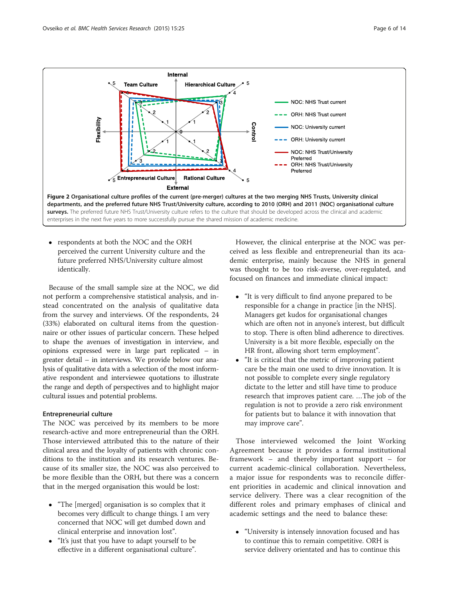<span id="page-5-0"></span>

 respondents at both the NOC and the ORH perceived the current University culture and the future preferred NHS/University culture almost identically.

Because of the small sample size at the NOC, we did not perform a comprehensive statistical analysis, and instead concentrated on the analysis of qualitative data from the survey and interviews. Of the respondents, 24 (33%) elaborated on cultural items from the questionnaire or other issues of particular concern. These helped to shape the avenues of investigation in interview, and opinions expressed were in large part replicated – in greater detail – in interviews. We provide below our analysis of qualitative data with a selection of the most informative respondent and interviewee quotations to illustrate the range and depth of perspectives and to highlight major cultural issues and potential problems.

# Entrepreneurial culture

The NOC was perceived by its members to be more research-active and more entrepreneurial than the ORH. Those interviewed attributed this to the nature of their clinical area and the loyalty of patients with chronic conditions to the institution and its research ventures. Because of its smaller size, the NOC was also perceived to be more flexible than the ORH, but there was a concern that in the merged organisation this would be lost:

- "The [merged] organisation is so complex that it becomes very difficult to change things. I am very concerned that NOC will get dumbed down and clinical enterprise and innovation lost".
- "It's just that you have to adapt yourself to be effective in a different organisational culture".

However, the clinical enterprise at the NOC was perceived as less flexible and entrepreneurial than its academic enterprise, mainly because the NHS in general was thought to be too risk-averse, over-regulated, and focused on finances and immediate clinical impact:

- "It is very difficult to find anyone prepared to be responsible for a change in practice [in the NHS]. Managers get kudos for organisational changes which are often not in anyone's interest, but difficult to stop. There is often blind adherence to directives. University is a bit more flexible, especially on the HR front, allowing short term employment".
- "It is critical that the metric of improving patient care be the main one used to drive innovation. It is not possible to complete every single regulatory dictate to the letter and still have time to produce research that improves patient care. …The job of the regulation is not to provide a zero risk environment for patients but to balance it with innovation that may improve care".

Those interviewed welcomed the Joint Working Agreement because it provides a formal institutional framework – and thereby important support – for current academic-clinical collaboration. Nevertheless, a major issue for respondents was to reconcile different priorities in academic and clinical innovation and service delivery. There was a clear recognition of the different roles and primary emphases of clinical and academic settings and the need to balance these:

 "University is intensely innovation focused and has to continue this to remain competitive. ORH is service delivery orientated and has to continue this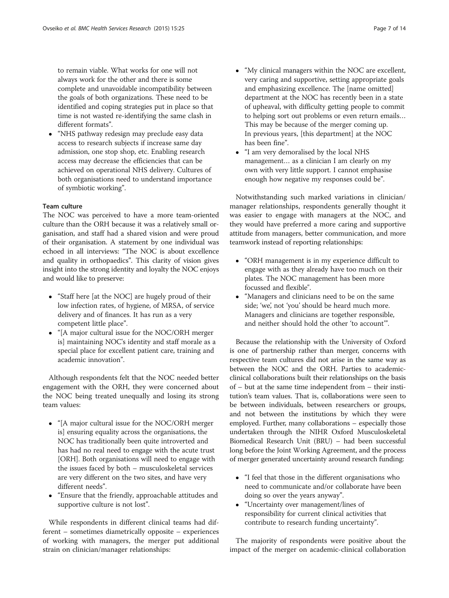to remain viable. What works for one will not always work for the other and there is some complete and unavoidable incompatibility between the goals of both organizations. These need to be identified and coping strategies put in place so that time is not wasted re-identifying the same clash in different formats".

 "NHS pathway redesign may preclude easy data access to research subjects if increase same day admission, one stop shop, etc. Enabling research access may decrease the efficiencies that can be achieved on operational NHS delivery. Cultures of both organisations need to understand importance of symbiotic working".

# Team culture

The NOC was perceived to have a more team-oriented culture than the ORH because it was a relatively small organisation, and staff had a shared vision and were proud of their organisation. A statement by one individual was echoed in all interviews: "The NOC is about excellence and quality in orthopaedics". This clarity of vision gives insight into the strong identity and loyalty the NOC enjoys and would like to preserve:

- "Staff here [at the NOC] are hugely proud of their low infection rates, of hygiene, of MRSA, of service delivery and of finances. It has run as a very competent little place".
- "[A major cultural issue for the NOC/ORH merger is] maintaining NOC's identity and staff morale as a special place for excellent patient care, training and academic innovation".

Although respondents felt that the NOC needed better engagement with the ORH, they were concerned about the NOC being treated unequally and losing its strong team values:

- "[A major cultural issue for the NOC/ORH merger is] ensuring equality across the organisations, the NOC has traditionally been quite introverted and has had no real need to engage with the acute trust [ORH]. Both organisations will need to engage with the issues faced by both – musculoskeletal services are very different on the two sites, and have very different needs".
- "Ensure that the friendly, approachable attitudes and supportive culture is not lost".

While respondents in different clinical teams had different – sometimes diametrically opposite – experiences of working with managers, the merger put additional strain on clinician/manager relationships:

- "My clinical managers within the NOC are excellent, very caring and supportive, setting appropriate goals and emphasizing excellence. The [name omitted] department at the NOC has recently been in a state of upheaval, with difficulty getting people to commit to helping sort out problems or even return emails… This may be because of the merger coming up. In previous years, [this department] at the NOC has been fine".
- "I am very demoralised by the local NHS management… as a clinician I am clearly on my own with very little support. I cannot emphasise enough how negative my responses could be".

Notwithstanding such marked variations in clinician/ manager relationships, respondents generally thought it was easier to engage with managers at the NOC, and they would have preferred a more caring and supportive attitude from managers, better communication, and more teamwork instead of reporting relationships:

- "ORH management is in my experience difficult to engage with as they already have too much on their plates. The NOC management has been more focussed and flexible".
- "Managers and clinicians need to be on the same side; 'we', not 'you' should be heard much more. Managers and clinicians are together responsible, and neither should hold the other 'to account'".

Because the relationship with the University of Oxford is one of partnership rather than merger, concerns with respective team cultures did not arise in the same way as between the NOC and the ORH. Parties to academicclinical collaborations built their relationships on the basis of – but at the same time independent from – their institution's team values. That is, collaborations were seen to be between individuals, between researchers or groups, and not between the institutions by which they were employed. Further, many collaborations – especially those undertaken through the NIHR Oxford Musculoskeletal Biomedical Research Unit (BRU) – had been successful long before the Joint Working Agreement, and the process of merger generated uncertainty around research funding:

- "I feel that those in the different organisations who need to communicate and/or collaborate have been doing so over the years anyway".
- "Uncertainty over management/lines of responsibility for current clinical activities that contribute to research funding uncertainty".

The majority of respondents were positive about the impact of the merger on academic-clinical collaboration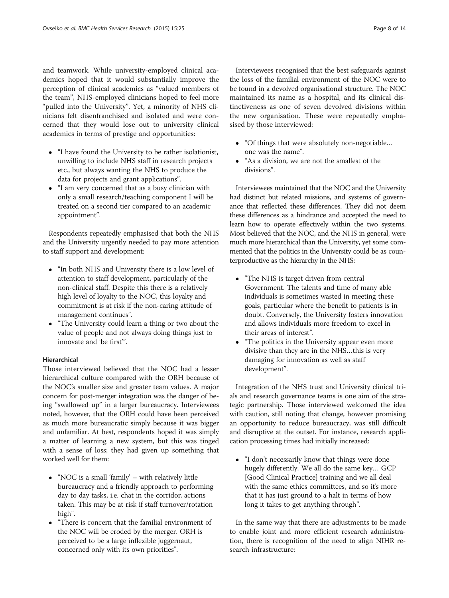and teamwork. While university-employed clinical academics hoped that it would substantially improve the perception of clinical academics as "valued members of the team", NHS-employed clinicians hoped to feel more "pulled into the University". Yet, a minority of NHS clinicians felt disenfranchised and isolated and were concerned that they would lose out to university clinical academics in terms of prestige and opportunities:

- "I have found the University to be rather isolationist, unwilling to include NHS staff in research projects etc., but always wanting the NHS to produce the data for projects and grant applications".
- "I am very concerned that as a busy clinician with only a small research/teaching component I will be treated on a second tier compared to an academic appointment".

Respondents repeatedly emphasised that both the NHS and the University urgently needed to pay more attention to staff support and development:

- "In both NHS and University there is a low level of attention to staff development, particularly of the non-clinical staff. Despite this there is a relatively high level of loyalty to the NOC, this loyalty and commitment is at risk if the non-caring attitude of management continues".
- "The University could learn a thing or two about the value of people and not always doing things just to innovate and 'be first'".

# Hierarchical

Those interviewed believed that the NOC had a lesser hierarchical culture compared with the ORH because of the NOC's smaller size and greater team values. A major concern for post-merger integration was the danger of being "swallowed up" in a larger bureaucracy. Interviewees noted, however, that the ORH could have been perceived as much more bureaucratic simply because it was bigger and unfamiliar. At best, respondents hoped it was simply a matter of learning a new system, but this was tinged with a sense of loss; they had given up something that worked well for them:

- "NOC is a small 'family' with relatively little bureaucracy and a friendly approach to performing day to day tasks, i.e. chat in the corridor, actions taken. This may be at risk if staff turnover/rotation high".
- "There is concern that the familial environment of the NOC will be eroded by the merger. ORH is perceived to be a large inflexible juggernaut, concerned only with its own priorities".

Interviewees recognised that the best safeguards against the loss of the familial environment of the NOC were to be found in a devolved organisational structure. The NOC maintained its name as a hospital, and its clinical distinctiveness as one of seven devolved divisions within the new organisation. These were repeatedly emphasised by those interviewed:

- "Of things that were absolutely non-negotiable… one was the name".
- "As a division, we are not the smallest of the divisions".

Interviewees maintained that the NOC and the University had distinct but related missions, and systems of governance that reflected these differences. They did not deem these differences as a hindrance and accepted the need to learn how to operate effectively within the two systems. Most believed that the NOC, and the NHS in general, were much more hierarchical than the University, yet some commented that the politics in the University could be as counterproductive as the hierarchy in the NHS:

- "The NHS is target driven from central Government. The talents and time of many able individuals is sometimes wasted in meeting these goals, particular where the benefit to patients is in doubt. Conversely, the University fosters innovation and allows individuals more freedom to excel in their areas of interest".
- "The politics in the University appear even more divisive than they are in the NHS…this is very damaging for innovation as well as staff development".

Integration of the NHS trust and University clinical trials and research governance teams is one aim of the strategic partnership. Those interviewed welcomed the idea with caution, still noting that change, however promising an opportunity to reduce bureaucracy, was still difficult and disruptive at the outset. For instance, research application processing times had initially increased:

 "I don't necessarily know that things were done hugely differently. We all do the same key… GCP [Good Clinical Practice] training and we all deal with the same ethics committees, and so it's more that it has just ground to a halt in terms of how long it takes to get anything through".

In the same way that there are adjustments to be made to enable joint and more efficient research administration, there is recognition of the need to align NIHR research infrastructure: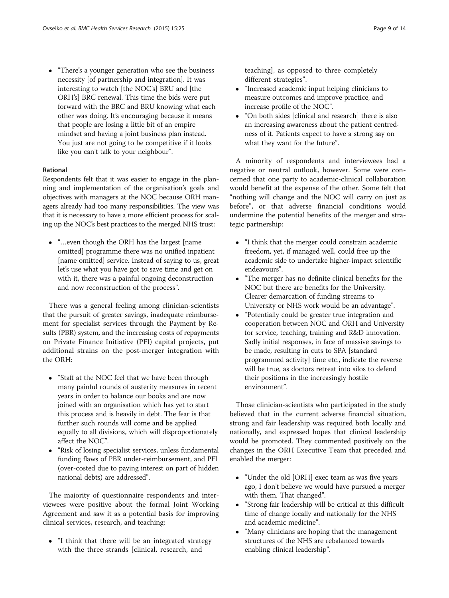• "There's a younger generation who see the business necessity [of partnership and integration]. It was interesting to watch [the NOC's] BRU and [the ORH's] BRC renewal. This time the bids were put forward with the BRC and BRU knowing what each other was doing. It's encouraging because it means that people are losing a little bit of an empire mindset and having a joint business plan instead. You just are not going to be competitive if it looks like you can't talk to your neighbour".

# Rational

Respondents felt that it was easier to engage in the planning and implementation of the organisation's goals and objectives with managers at the NOC because ORH managers already had too many responsibilities. The view was that it is necessary to have a more efficient process for scaling up the NOC's best practices to the merged NHS trust:

 "…even though the ORH has the largest [name omitted] programme there was no unified inpatient [name omitted] service. Instead of saying to us, great let's use what you have got to save time and get on with it, there was a painful ongoing deconstruction and now reconstruction of the process".

There was a general feeling among clinician-scientists that the pursuit of greater savings, inadequate reimbursement for specialist services through the Payment by Results (PBR) system, and the increasing costs of repayments on Private Finance Initiative (PFI) capital projects, put additional strains on the post-merger integration with the ORH:

- "Staff at the NOC feel that we have been through many painful rounds of austerity measures in recent years in order to balance our books and are now joined with an organisation which has yet to start this process and is heavily in debt. The fear is that further such rounds will come and be applied equally to all divisions, which will disproportionately affect the NOC".
- "Risk of losing specialist services, unless fundamental funding flaws of PBR under-reimbursement, and PFI (over-costed due to paying interest on part of hidden national debts) are addressed".

The majority of questionnaire respondents and interviewees were positive about the formal Joint Working Agreement and saw it as a potential basis for improving clinical services, research, and teaching:

 "I think that there will be an integrated strategy with the three strands [clinical, research, and

teaching], as opposed to three completely different strategies".

- "Increased academic input helping clinicians to measure outcomes and improve practice, and increase profile of the NOC".
- "On both sides [clinical and research] there is also an increasing awareness about the patient centredness of it. Patients expect to have a strong say on what they want for the future".

A minority of respondents and interviewees had a negative or neutral outlook, however. Some were concerned that one party to academic-clinical collaboration would benefit at the expense of the other. Some felt that "nothing will change and the NOC will carry on just as before", or that adverse financial conditions would undermine the potential benefits of the merger and strategic partnership:

- "I think that the merger could constrain academic freedom, yet, if managed well, could free up the academic side to undertake higher-impact scientific endeavours".
- "The merger has no definite clinical benefits for the NOC but there are benefits for the University. Clearer demarcation of funding streams to University or NHS work would be an advantage".
- "Potentially could be greater true integration and cooperation between NOC and ORH and University for service, teaching, training and R&D innovation. Sadly initial responses, in face of massive savings to be made, resulting in cuts to SPA [standard programmed activity] time etc., indicate the reverse will be true, as doctors retreat into silos to defend their positions in the increasingly hostile environment".

Those clinician-scientists who participated in the study believed that in the current adverse financial situation, strong and fair leadership was required both locally and nationally, and expressed hopes that clinical leadership would be promoted. They commented positively on the changes in the ORH Executive Team that preceded and enabled the merger:

- "Under the old [ORH] exec team as was five years ago, I don't believe we would have pursued a merger with them. That changed".
- "Strong fair leadership will be critical at this difficult time of change locally and nationally for the NHS and academic medicine".
- "Many clinicians are hoping that the management structures of the NHS are rebalanced towards enabling clinical leadership".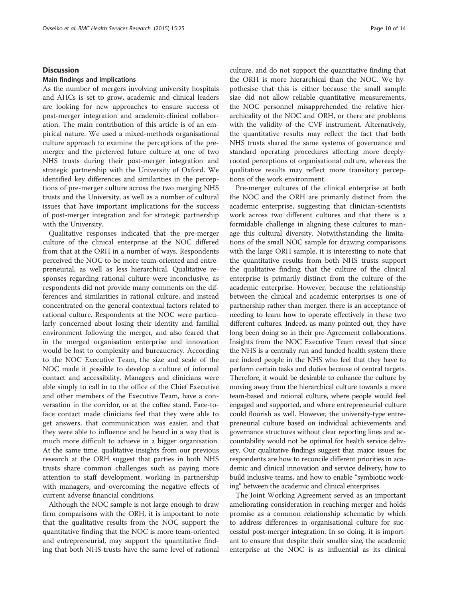# Discussion

# Main findings and implications

As the number of mergers involving university hospitals and AHCs is set to grow, academic and clinical leaders are looking for new approaches to ensure success of post-merger integration and academic-clinical collaboration. The main contribution of this article is of an empirical nature. We used a mixed-methods organisational culture approach to examine the perceptions of the premerger and the preferred future culture at one of two NHS trusts during their post-merger integration and strategic partnership with the University of Oxford. We identified key differences and similarities in the perceptions of pre-merger culture across the two merging NHS trusts and the University, as well as a number of cultural issues that have important implications for the success of post-merger integration and for strategic partnership with the University.

Qualitative responses indicated that the pre-merger culture of the clinical enterprise at the NOC differed from that at the ORH in a number of ways. Respondents perceived the NOC to be more team-oriented and entrepreneurial, as well as less hierarchical. Qualitative responses regarding rational culture were inconclusive, as respondents did not provide many comments on the differences and similarities in rational culture, and instead concentrated on the general contextual factors related to rational culture. Respondents at the NOC were particularly concerned about losing their identity and familial environment following the merger, and also feared that in the merged organisation enterprise and innovation would be lost to complexity and bureaucracy. According to the NOC Executive Team, the size and scale of the NOC made it possible to develop a culture of informal contact and accessibility. Managers and clinicians were able simply to call in to the office of the Chief Executive and other members of the Executive Team, have a conversation in the corridor, or at the coffee stand. Face-toface contact made clinicians feel that they were able to get answers, that communication was easier, and that they were able to influence and be heard in a way that is much more difficult to achieve in a bigger organisation. At the same time, qualitative insights from our previous research at the ORH suggest that parties in both NHS trusts share common challenges such as paying more attention to staff development, working in partnership with managers, and overcoming the negative effects of current adverse financial conditions.

Although the NOC sample is not large enough to draw firm comparisons with the ORH, it is important to note that the qualitative results from the NOC support the quantitative finding that the NOC is more team-oriented and entrepreneurial, may support the quantitative finding that both NHS trusts have the same level of rational culture, and do not support the quantitative finding that the ORH is more hierarchical than the NOC. We hypothesise that this is either because the small sample size did not allow reliable quantitative measurements, the NOC personnel misapprehended the relative hierarchicality of the NOC and ORH, or there are problems with the validity of the CVF instrument. Alternatively, the quantitative results may reflect the fact that both NHS trusts shared the same systems of governance and standard operating procedures affecting more deeplyrooted perceptions of organisational culture, whereas the qualitative results may reflect more transitory perceptions of the work environment.

Pre-merger cultures of the clinical enterprise at both the NOC and the ORH are primarily distinct from the academic enterprise, suggesting that clinician-scientists work across two different cultures and that there is a formidable challenge in aligning these cultures to manage this cultural diversity. Notwithstanding the limitations of the small NOC sample for drawing comparisons with the large ORH sample, it is interesting to note that the quantitative results from both NHS trusts support the qualitative finding that the culture of the clinical enterprise is primarily distinct from the culture of the academic enterprise. However, because the relationship between the clinical and academic enterprises is one of partnership rather than merger, there is an acceptance of needing to learn how to operate effectively in these two different cultures. Indeed, as many pointed out, they have long been doing so in their pre-Agreement collaborations. Insights from the NOC Executive Team reveal that since the NHS is a centrally run and funded health system there are indeed people in the NHS who feel that they have to perform certain tasks and duties because of central targets. Therefore, it would be desirable to enhance the culture by moving away from the hierarchical culture towards a more team-based and rational culture, where people would feel engaged and supported, and where entrepreneurial culture could flourish as well. However, the university-type entrepreneurial culture based on individual achievements and governance structures without clear reporting lines and accountability would not be optimal for health service delivery. Our qualitative findings suggest that major issues for respondents are how to reconcile different priorities in academic and clinical innovation and service delivery, how to build inclusive teams, and how to enable "symbiotic working" between the academic and clinical enterprises.

The Joint Working Agreement served as an important ameliorating consideration in reaching merger and holds promise as a common relationship schematic by which to address differences in organisational culture for successful post-merger integration. In so doing, it is important to ensure that despite their smaller size, the academic enterprise at the NOC is as influential as its clinical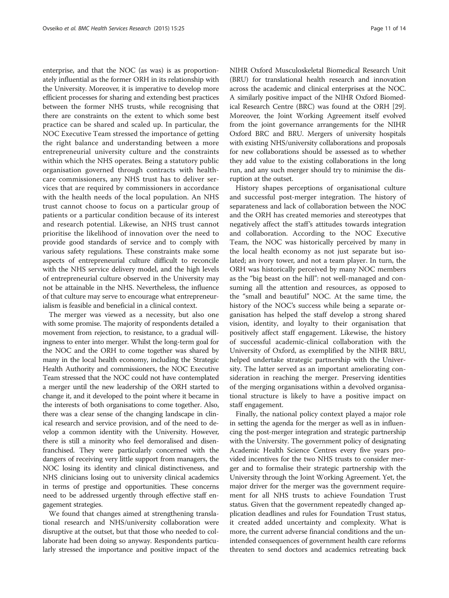enterprise, and that the NOC (as was) is as proportionately influential as the former ORH in its relationship with the University. Moreover, it is imperative to develop more efficient processes for sharing and extending best practices between the former NHS trusts, while recognising that there are constraints on the extent to which some best practice can be shared and scaled up. In particular, the NOC Executive Team stressed the importance of getting the right balance and understanding between a more entrepreneurial university culture and the constraints within which the NHS operates. Being a statutory public organisation governed through contracts with healthcare commissioners, any NHS trust has to deliver services that are required by commissioners in accordance with the health needs of the local population. An NHS trust cannot choose to focus on a particular group of patients or a particular condition because of its interest and research potential. Likewise, an NHS trust cannot prioritise the likelihood of innovation over the need to provide good standards of service and to comply with various safety regulations. These constraints make some aspects of entrepreneurial culture difficult to reconcile with the NHS service delivery model, and the high levels of entrepreneurial culture observed in the University may not be attainable in the NHS. Nevertheless, the influence of that culture may serve to encourage what entrepreneurialism is feasible and beneficial in a clinical context.

The merger was viewed as a necessity, but also one with some promise. The majority of respondents detailed a movement from rejection, to resistance, to a gradual willingness to enter into merger. Whilst the long-term goal for the NOC and the ORH to come together was shared by many in the local health economy, including the Strategic Health Authority and commissioners, the NOC Executive Team stressed that the NOC could not have contemplated a merger until the new leadership of the ORH started to change it, and it developed to the point where it became in the interests of both organisations to come together. Also, there was a clear sense of the changing landscape in clinical research and service provision, and of the need to develop a common identity with the University. However, there is still a minority who feel demoralised and disenfranchised. They were particularly concerned with the dangers of receiving very little support from managers, the NOC losing its identity and clinical distinctiveness, and NHS clinicians losing out to university clinical academics in terms of prestige and opportunities. These concerns need to be addressed urgently through effective staff engagement strategies.

We found that changes aimed at strengthening translational research and NHS/university collaboration were disruptive at the outset, but that those who needed to collaborate had been doing so anyway. Respondents particularly stressed the importance and positive impact of the NIHR Oxford Musculoskeletal Biomedical Research Unit (BRU) for translational health research and innovation across the academic and clinical enterprises at the NOC. A similarly positive impact of the NIHR Oxford Biomedical Research Centre (BRC) was found at the ORH [[29](#page-12-0)]. Moreover, the Joint Working Agreement itself evolved from the joint governance arrangements for the NIHR Oxford BRC and BRU. Mergers of university hospitals with existing NHS/university collaborations and proposals for new collaborations should be assessed as to whether they add value to the existing collaborations in the long run, and any such merger should try to minimise the disruption at the outset.

History shapes perceptions of organisational culture and successful post-merger integration. The history of separateness and lack of collaboration between the NOC and the ORH has created memories and stereotypes that negatively affect the staff's attitudes towards integration and collaboration. According to the NOC Executive Team, the NOC was historically perceived by many in the local health economy as not just separate but isolated; an ivory tower, and not a team player. In turn, the ORH was historically perceived by many NOC members as the "big beast on the hill": not well-managed and consuming all the attention and resources, as opposed to the "small and beautiful" NOC. At the same time, the history of the NOC's success while being a separate organisation has helped the staff develop a strong shared vision, identity, and loyalty to their organisation that positively affect staff engagement. Likewise, the history of successful academic-clinical collaboration with the University of Oxford, as exemplified by the NIHR BRU, helped undertake strategic partnership with the University. The latter served as an important ameliorating consideration in reaching the merger. Preserving identities of the merging organisations within a devolved organisational structure is likely to have a positive impact on staff engagement.

Finally, the national policy context played a major role in setting the agenda for the merger as well as in influencing the post-merger integration and strategic partnership with the University. The government policy of designating Academic Health Science Centres every five years provided incentives for the two NHS trusts to consider merger and to formalise their strategic partnership with the University through the Joint Working Agreement. Yet, the major driver for the merger was the government requirement for all NHS trusts to achieve Foundation Trust status. Given that the government repeatedly changed application deadlines and rules for Foundation Trust status, it created added uncertainty and complexity. What is more, the current adverse financial conditions and the unintended consequences of government health care reforms threaten to send doctors and academics retreating back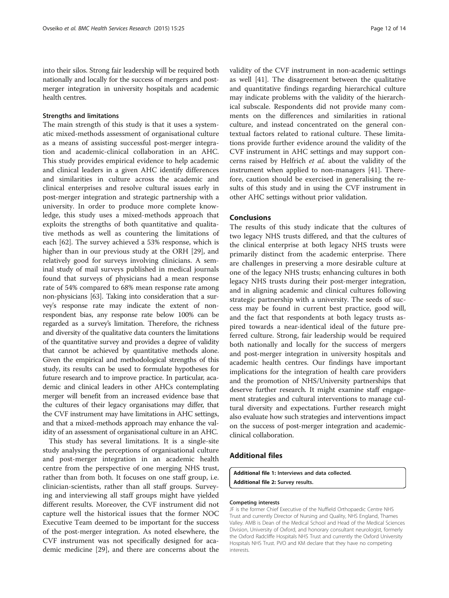<span id="page-11-0"></span>into their silos. Strong fair leadership will be required both nationally and locally for the success of mergers and postmerger integration in university hospitals and academic health centres.

#### Strengths and limitations

The main strength of this study is that it uses a systematic mixed-methods assessment of organisational culture as a means of assisting successful post-merger integration and academic-clinical collaboration in an AHC. This study provides empirical evidence to help academic and clinical leaders in a given AHC identify differences and similarities in culture across the academic and clinical enterprises and resolve cultural issues early in post-merger integration and strategic partnership with a university. In order to produce more complete knowledge, this study uses a mixed-methods approach that exploits the strengths of both quantitative and qualitative methods as well as countering the limitations of each [[62](#page-13-0)]. The survey achieved a 53% response, which is higher than in our previous study at the ORH [[29\]](#page-12-0), and relatively good for surveys involving clinicians. A seminal study of mail surveys published in medical journals found that surveys of physicians had a mean response rate of 54% compared to 68% mean response rate among non-physicians [[63](#page-13-0)]. Taking into consideration that a survey's response rate may indicate the extent of nonrespondent bias, any response rate below 100% can be regarded as a survey's limitation. Therefore, the richness and diversity of the qualitative data counters the limitations of the quantitative survey and provides a degree of validity that cannot be achieved by quantitative methods alone. Given the empirical and methodological strengths of this study, its results can be used to formulate hypotheses for future research and to improve practice. In particular, academic and clinical leaders in other AHCs contemplating merger will benefit from an increased evidence base that the cultures of their legacy organisations may differ, that the CVF instrument may have limitations in AHC settings, and that a mixed-methods approach may enhance the validity of an assessment of organisational culture in an AHC.

This study has several limitations. It is a single-site study analysing the perceptions of organisational culture and post-merger integration in an academic health centre from the perspective of one merging NHS trust, rather than from both. It focuses on one staff group, i.e. clinician-scientists, rather than all staff groups. Surveying and interviewing all staff groups might have yielded different results. Moreover, the CVF instrument did not capture well the historical issues that the former NOC Executive Team deemed to be important for the success of the post-merger integration. As noted elsewhere, the CVF instrument was not specifically designed for academic medicine [[29\]](#page-12-0), and there are concerns about the validity of the CVF instrument in non-academic settings as well [[41](#page-12-0)]. The disagreement between the qualitative and quantitative findings regarding hierarchical culture may indicate problems with the validity of the hierarchical subscale. Respondents did not provide many comments on the differences and similarities in rational culture, and instead concentrated on the general contextual factors related to rational culture. These limitations provide further evidence around the validity of the CVF instrument in AHC settings and may support concerns raised by Helfrich et al. about the validity of the instrument when applied to non-managers [[41](#page-12-0)]. Therefore, caution should be exercised in generalising the results of this study and in using the CVF instrument in other AHC settings without prior validation.

# Conclusions

The results of this study indicate that the cultures of two legacy NHS trusts differed, and that the cultures of the clinical enterprise at both legacy NHS trusts were primarily distinct from the academic enterprise. There are challenges in preserving a more desirable culture at one of the legacy NHS trusts; enhancing cultures in both legacy NHS trusts during their post-merger integration, and in aligning academic and clinical cultures following strategic partnership with a university. The seeds of success may be found in current best practice, good will, and the fact that respondents at both legacy trusts aspired towards a near-identical ideal of the future preferred culture. Strong, fair leadership would be required both nationally and locally for the success of mergers and post-merger integration in university hospitals and academic health centres. Our findings have important implications for the integration of health care providers and the promotion of NHS/University partnerships that deserve further research. It might examine staff engagement strategies and cultural interventions to manage cultural diversity and expectations. Further research might also evaluate how such strategies and interventions impact on the success of post-merger integration and academicclinical collaboration.

#### Additional files

[Additional file 1:](http://www.biomedcentral.com/content/supplementary/s12913-014-0673-3-s1.pdf) Interviews and data collected. [Additional file 2:](http://www.biomedcentral.com/content/supplementary/s12913-014-0673-3-s2.pdf) Survey results.

#### Competing interests

JF is the former Chief Executive of the Nuffield Orthopaedic Centre NHS Trust and currently Director of Nursing and Quality, NHS England, Thames Valley. AMB is Dean of the Medical School and Head of the Medical Sciences Division, University of Oxford, and honorary consultant neurologist, formerly the Oxford Radcliffe Hospitals NHS Trust and currently the Oxford University Hospitals NHS Trust. PVO and KM declare that they have no competing interests.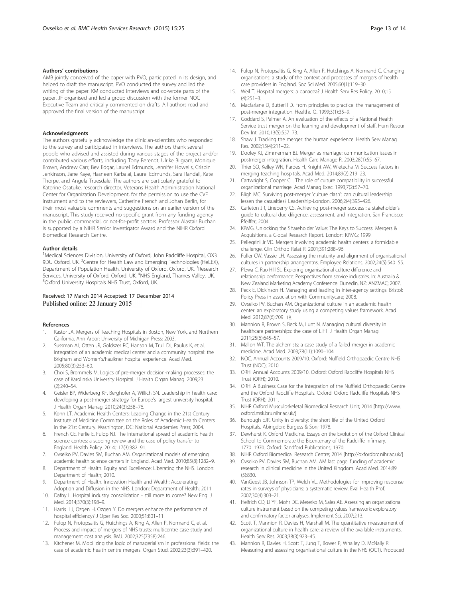#### <span id="page-12-0"></span>Authors' contributions

AMB jointly conceived of the paper with PVO, participated in its design, and helped to draft the manuscript. PVO conducted the survey and led the writing of the paper. KM conducted interviews and co-wrote parts of the paper. JF organised and led a group discussion with the former NOC Executive Team and critically commented on drafts. All authors read and approved the final version of the manuscript.

#### Acknowledgments

The authors gratefully acknowledge the clinician-scientists who responded to the survey and participated in interviews. The authors thank several people who advised and assisted during various stages of the project and/or contributed various efforts, including Tony Berendt, Ulrike Bilgram, Monique Brown, Andrew Carr, Bev Edgar, Laurel Edmunds, Jennifer Howells, Crispin Jenkinson, Jane Kaye, Hasneen Karbalai, Laurel Edmunds, Sara Randall, Kate Thorpe, and Angela Truesdale. The authors are particularly grateful to Katerine Osatuke, research director, Veterans Health Administration National Center for Organization Development, for the permission to use the CVF instrument and to the reviewers, Catherine French and Johan Berlin, for their most valuable comments and suggestions on an earlier version of the manuscript. This study received no specific grant from any funding agency in the public, commercial, or not-for-profit sectors. Professor Alastair Buchan is supported by a NIHR Senior Investigator Award and the NIHR Oxford Biomedical Research Centre.

#### Author details

<sup>1</sup>Medical Sciences Division, University of Oxford, John Radcliffe Hospital, OX3 9DU Oxford, UK. <sup>2</sup>Centre for Health Law and Emerging Technologies (HeLEX), Department of Population Health, University of Oxford, Oxford, UK. <sup>3</sup>Research Services, University of Oxford, Oxford, UK. <sup>4</sup>NHS England, Thames Valley, UK.<br><sup>5</sup>Oxford University Hospitals NHS Trust, Oxford, UK. Oxford University Hospitals NHS Trust, Oxford, UK.

#### Received: 17 March 2014 Accepted: 17 December 2014 Published online: 22 January 2015

#### References

- 1. Kastor JA. Mergers of Teaching Hospitals in Boston, New York, and Northern California. Ann Arbor: University of Michigan Press; 2003.
- 2. Sussman AJ, Otten JR, Goldszer RC, Hanson M, Trull DJ, Paulus K, et al. Integration of an academic medical center and a community hospital: the Brigham and Women's/Faulkner hospital experience. Acad Med. 2005;80(3):253–60.
- 3. Choi S, Brommels M. Logics of pre-merger decision-making processes: the case of Karolinska University Hospital. J Health Organ Manag. 2009;23 (2):240–54.
- 4. Geisler BP, Widerberg KF, Berghofer A, Willich SN. Leadership in health care: developing a post-merger strategy for Europe's largest university hospital. J Health Organ Manag. 2010;24(3):258–76.
- Kohn LT. Academic Health Centers: Leading Change in the 21st Century. Institute of Medicine Committee on the Roles of Academic Health Centers in the 21st Century. Washington, DC: National Academies Press; 2004.
- 6. French CE, Ferlie E, Fulop NJ. The international spread of academic health science centres: a scoping review and the case of policy transfer to England. Health Policy. 2014;117(3):382–91.
- 7. Ovseiko PV, Davies SM, Buchan AM. Organizational models of emerging academic health science centers in England. Acad Med. 2010;85(8):1282–9.
- Department of Health. Equity and Excellence: Liberating the NHS. London: Department of Health; 2010.
- Department of Health. Innovation Health and Wealth: Accelerating Adoption and Diffusion in the NHS. London: Department of Health; 2011.
- 10. Dafny L. Hospital industry consolidation still more to come? New Engl J Med. 2014;370(3):198–9.
- 11. Harris II J, Ozgen H, Ozgen Y. Do mergers enhance the performance of hospital efficiency? J Oper Res Soc. 2000;51:801–11.
- 12. Fulop N, Protopsaltis G, Hutchings A, King A, Allen P, Normand C, et al. Process and impact of mergers of NHS trusts: multicentre case study and management cost analysis. BMJ. 2002;325(7358):246.
- 13. Kitchener M. Mobilizing the logic of managerialism in professional fields: the case of academic health centre mergers. Organ Stud. 2002;23(3):391–420.
- 14. Fulop N, Protopsaltis G, King A, Allen P, Hutchings A, Normand C. Changing organisations: a study of the context and processes of mergers of health care providers in England. Soc Sci Med. 2005;60(1):119–30.
- 15. Weil T. Hospital mergers: a panacea? J Health Serv Res Policy. 2010;15  $(4):251-3.$
- 16. Macfarlane D, Butterill D. From principles to practice: the management of post-merger integration. Healthc Q. 1999;3(1):35–9.
- 17. Goddard S, Palmer A. An evaluation of the effects of a National Health Service trust merger on the learning and development of staff. Hum Resour Dev Int. 2010;13(5):557–73.
- 18. Shaw J. Tracking the merger: the human experience. Health Serv Manag Res. 2002;15(4):211–22.
- 19. Dooley KJ, Zimmerman BJ. Merger as marriage: communication issues in postmerger integration. Health Care Manage R. 2003;28(1):55–67.
- 20. Thier SO, Kelley WN, Pardes H, Knight AW, Wietecha M. Success factors in merging teaching hospitals. Acad Med. 2014;89(2):219–23.
- 21. Cartwright S, Cooper CL. The role of culture compatibility in successful organizational marriage. Acad Manag Exec. 1993;7(2):57–70.
- 22. Bligh MC. Surviving post-merger 'culture clash': can cultural leadership lessen the casualties? Leadership-London. 2006;2(4):395–426.
- 23. Carleton JR, Lineberry CS. Achieving post-merger success : a stakeholder's guide to cultural due diligence, assessment, and integration. San Francisco: Pfeiffer; 2004.
- 24. KPMG. Unlocking the Shareholder Value: The Keys to Success. Mergers & Acquisitions, a Global Research Report. London: KPMG; 1999.
- 25. Pellegrini Jr VD. Mergers involving academic health centers: a formidable challenge. Clin Orthop Relat R. 2001;391:288–96.
- 26. Fuller CW, Vassie LH. Assessing the maturity and alignment of organisational cultures in partnership arrangemtns. Employee Relations. 2002;24(5):540–55.
- 27. Plewa C, Rao Hill SL. Exploring organisational culture difference and relationship performance: Perspectives from service industries. In: Australia & New Zealand Marketing Academy Conference. Dunedin, NZ: ANZMAC; 2007.
- 28. Peck E, Dickinson H. Managing and leading in inter-agency settings. Bristol: Policy Press in association with Communitycare; 2008.
- 29. Ovseiko PV, Buchan AM. Organizational culture in an academic health center: an exploratory study using a competing values framework. Acad Med. 2012;87(6):709–18.
- 30. Mannion R, Brown S, Beck M, Lunt N. Managing cultural diversity in healthcare partnerships: the case of LIFT. J Health Organ Manag. 2011;25(6):645–57.
- 31. Mallon WT. The alchemists: a case study of a failed merger in academic medicine. Acad Med. 2003;78(11):1090–104.
- 32. NOC. Annual Accounts 2009/10. Oxford: Nuffield Orthopaedic Centre NHS Trust (NOC); 2010.
- 33. ORH. Annual Accounts 2009/10. Oxford: Oxford Radcliffe Hospitals NHS Trust (ORH); 2010.
- 34. ORH. A Business Case for the Integration of the Nuffield Orthopaedic Centre and the Oxford Radcliffe Hospitals. Oxford: Oxford Radcliffe Hospitals NHS Trust (ORH); 2011.
- 35. NIHR Oxford Musculoskeletal Biomedical Research Unit; 2014 [[http://www.](http://www.oxford.msk.bru.nihr.ac.uk/) [oxford.msk.bru.nihr.ac.uk/\]](http://www.oxford.msk.bru.nihr.ac.uk/)
- 36. Burrough EJR. Unity in diversity: the short life of the United Oxford Hospitals. Abingdon: Burgess & Son; 1978.
- 37. Dewhurst K. Oxford Medicine. Essays on the Evolution of the Oxford Clinical School to Commemorate the Bicentenary of the Radcliffe Infirmary, 1770–1970. Oxford: Sandford Publications; 1970.
- 38. NIHR Oxford Biomedical Research Centre; 2014 [<http://oxfordbrc.nihr.ac.uk/>]
- 39. Ovseiko PV, Davies SM, Buchan AM. AM last page: funding of academic research in clinical medicine in the United Kingdom. Acad Med. 2014;89 (5):830.
- 40. VanGeest JB, Johnson TP, Welch VL. Methodologies for improving response rates in surveys of physicians: a systematic review. Eval Health Prof. 2007;30(4):303–21.
- 41. Helfrich CD, Li YF, Mohr DC, Meterko M, Sales AE. Assessing an organizational culture instrument based on the competing values framework: exploratory and confirmatory factor analyses. Implement Sci. 2007;2:13.
- 42. Scott T, Mannion R, Davies H, Marshall M. The quantitative measurement of organizational culture in health care: a review of the available instruments. Health Serv Res. 2003;38(3):923–45.
- 43. Mannion R, Davies H, Scott T, Jung T, Bower P, Whalley D, McNally R. Measuring and assessing organisational culture in the NHS (OC1). Produced